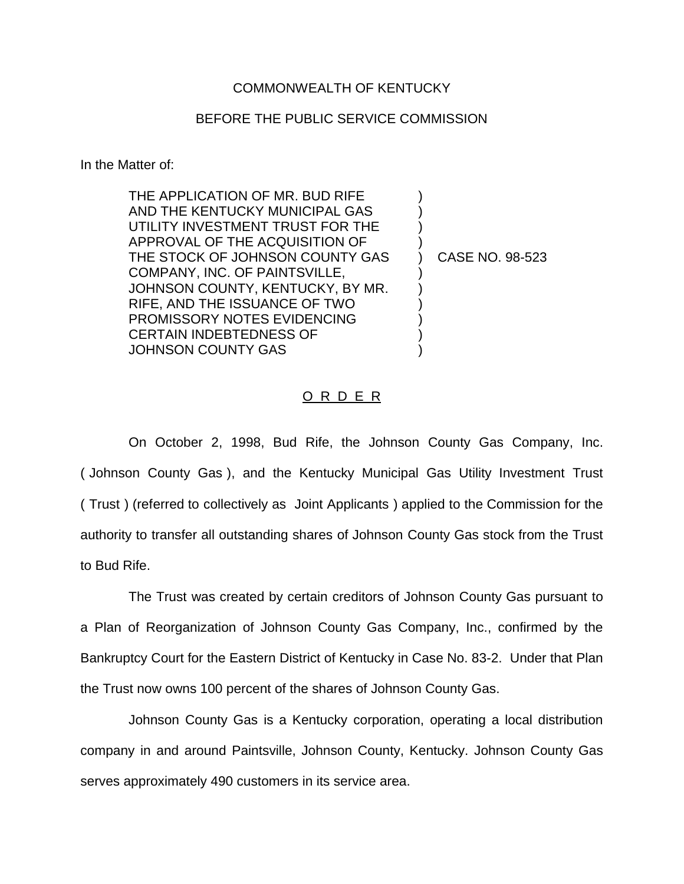## COMMONWEALTH OF KENTUCKY

## BEFORE THE PUBLIC SERVICE COMMISSION

In the Matter of:

THE APPLICATION OF MR. BUD RIFE AND THE KENTUCKY MUNICIPAL GAS UTILITY INVESTMENT TRUST FOR THE APPROVAL OF THE ACQUISITION OF ) THE STOCK OF JOHNSON COUNTY GAS (CASE NO. 98-523) COMPANY, INC. OF PAINTSVILLE, ) JOHNSON COUNTY, KENTUCKY, BY MR. RIFE, AND THE ISSUANCE OF TWO ) PROMISSORY NOTES EVIDENCING CERTAIN INDEBTEDNESS OF ) JOHNSON COUNTY GAS

## O R D E R

On October 2, 1998, Bud Rife, the Johnson County Gas Company, Inc. ( Johnson County Gas ), and the Kentucky Municipal Gas Utility Investment Trust ( Trust ) (referred to collectively as Joint Applicants ) applied to the Commission for the authority to transfer all outstanding shares of Johnson County Gas stock from the Trust to Bud Rife.

The Trust was created by certain creditors of Johnson County Gas pursuant to a Plan of Reorganization of Johnson County Gas Company, Inc., confirmed by the Bankruptcy Court for the Eastern District of Kentucky in Case No. 83-2. Under that Plan the Trust now owns 100 percent of the shares of Johnson County Gas.

Johnson County Gas is a Kentucky corporation, operating a local distribution company in and around Paintsville, Johnson County, Kentucky. Johnson County Gas serves approximately 490 customers in its service area.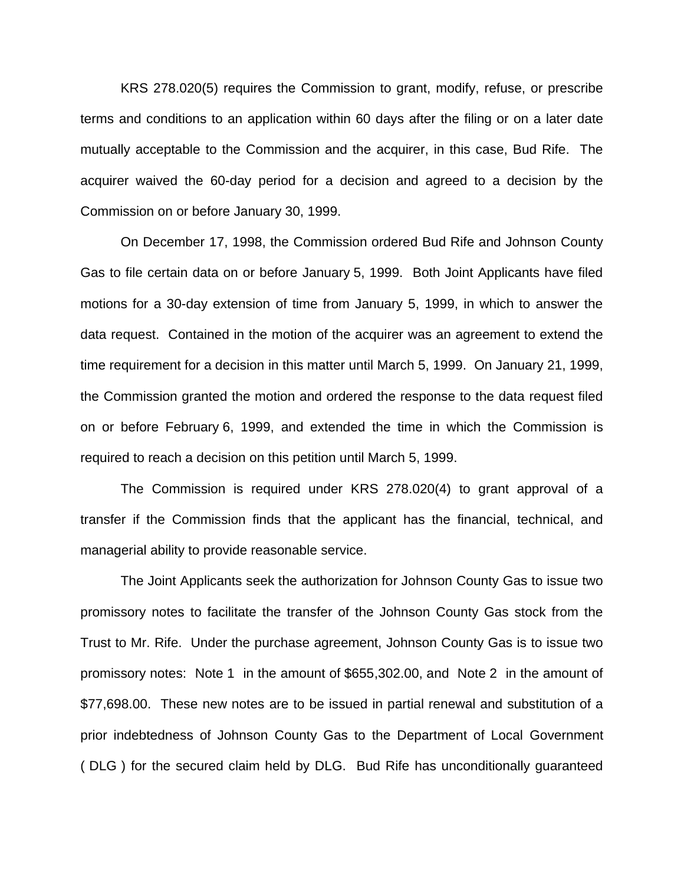KRS 278.020(5) requires the Commission to grant, modify, refuse, or prescribe terms and conditions to an application within 60 days after the filing or on a later date mutually acceptable to the Commission and the acquirer, in this case, Bud Rife. The acquirer waived the 60-day period for a decision and agreed to a decision by the Commission on or before January 30, 1999.

On December 17, 1998, the Commission ordered Bud Rife and Johnson County Gas to file certain data on or before January 5, 1999. Both Joint Applicants have filed motions for a 30-day extension of time from January 5, 1999, in which to answer the data request. Contained in the motion of the acquirer was an agreement to extend the time requirement for a decision in this matter until March 5, 1999. On January 21, 1999, the Commission granted the motion and ordered the response to the data request filed on or before February 6, 1999, and extended the time in which the Commission is required to reach a decision on this petition until March 5, 1999.

The Commission is required under KRS 278.020(4) to grant approval of a transfer if the Commission finds that the applicant has the financial, technical, and managerial ability to provide reasonable service.

The Joint Applicants seek the authorization for Johnson County Gas to issue two promissory notes to facilitate the transfer of the Johnson County Gas stock from the Trust to Mr. Rife. Under the purchase agreement, Johnson County Gas is to issue two promissory notes: Note 1 in the amount of \$655,302.00, and Note 2 in the amount of \$77,698.00. These new notes are to be issued in partial renewal and substitution of a prior indebtedness of Johnson County Gas to the Department of Local Government ( DLG ) for the secured claim held by DLG. Bud Rife has unconditionally guaranteed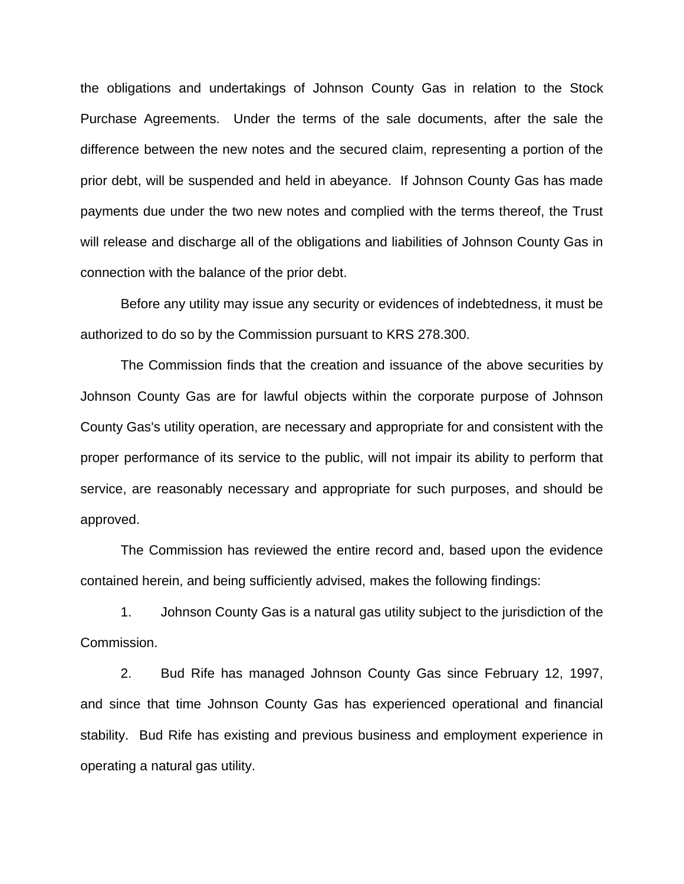the obligations and undertakings of Johnson County Gas in relation to the Stock Purchase Agreements. Under the terms of the sale documents, after the sale the difference between the new notes and the secured claim, representing a portion of the prior debt, will be suspended and held in abeyance. If Johnson County Gas has made payments due under the two new notes and complied with the terms thereof, the Trust will release and discharge all of the obligations and liabilities of Johnson County Gas in connection with the balance of the prior debt.

Before any utility may issue any security or evidences of indebtedness, it must be authorized to do so by the Commission pursuant to KRS 278.300.

The Commission finds that the creation and issuance of the above securities by Johnson County Gas are for lawful objects within the corporate purpose of Johnson County Gas's utility operation, are necessary and appropriate for and consistent with the proper performance of its service to the public, will not impair its ability to perform that service, are reasonably necessary and appropriate for such purposes, and should be approved.

The Commission has reviewed the entire record and, based upon the evidence contained herein, and being sufficiently advised, makes the following findings:

1. Johnson County Gas is a natural gas utility subject to the jurisdiction of the Commission.

2. Bud Rife has managed Johnson County Gas since February 12, 1997, and since that time Johnson County Gas has experienced operational and financial stability. Bud Rife has existing and previous business and employment experience in operating a natural gas utility.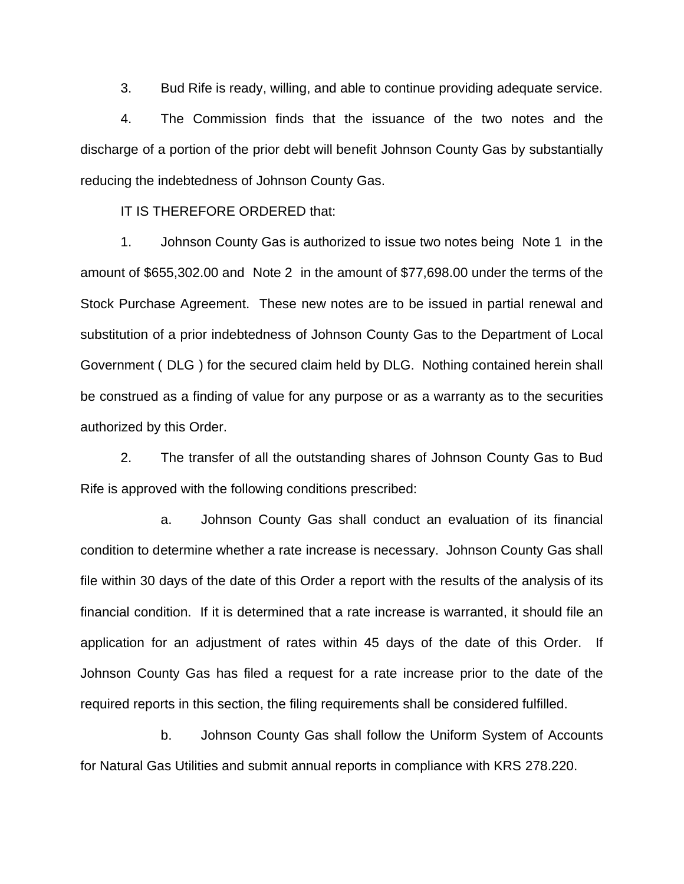3. Bud Rife is ready, willing, and able to continue providing adequate service.

4. The Commission finds that the issuance of the two notes and the discharge of a portion of the prior debt will benefit Johnson County Gas by substantially reducing the indebtedness of Johnson County Gas.

IT IS THEREFORE ORDERED that:

1. Johnson County Gas is authorized to issue two notes being Note 1 in the amount of \$655,302.00 and Note 2 in the amount of \$77,698.00 under the terms of the Stock Purchase Agreement. These new notes are to be issued in partial renewal and substitution of a prior indebtedness of Johnson County Gas to the Department of Local Government ( DLG ) for the secured claim held by DLG. Nothing contained herein shall be construed as a finding of value for any purpose or as a warranty as to the securities authorized by this Order.

2. The transfer of all the outstanding shares of Johnson County Gas to Bud Rife is approved with the following conditions prescribed:

a. Johnson County Gas shall conduct an evaluation of its financial condition to determine whether a rate increase is necessary. Johnson County Gas shall file within 30 days of the date of this Order a report with the results of the analysis of its financial condition. If it is determined that a rate increase is warranted, it should file an application for an adjustment of rates within 45 days of the date of this Order. If Johnson County Gas has filed a request for a rate increase prior to the date of the required reports in this section, the filing requirements shall be considered fulfilled.

b. Johnson County Gas shall follow the Uniform System of Accounts for Natural Gas Utilities and submit annual reports in compliance with KRS 278.220.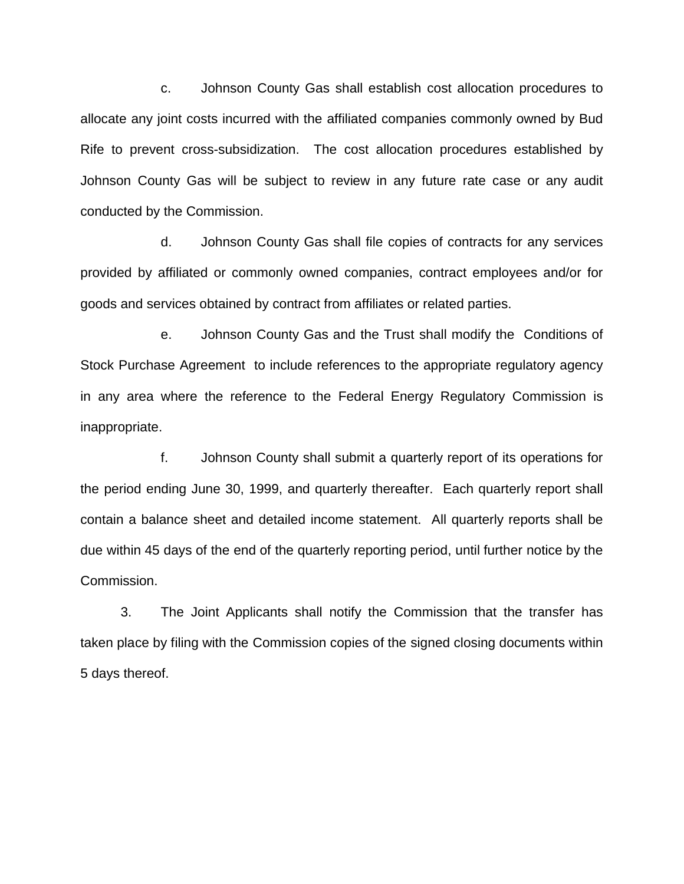c. Johnson County Gas shall establish cost allocation procedures to allocate any joint costs incurred with the affiliated companies commonly owned by Bud Rife to prevent cross-subsidization. The cost allocation procedures established by Johnson County Gas will be subject to review in any future rate case or any audit conducted by the Commission.

d. Johnson County Gas shall file copies of contracts for any services provided by affiliated or commonly owned companies, contract employees and/or for goods and services obtained by contract from affiliates or related parties.

e. Johnson County Gas and the Trust shall modify the Conditions of Stock Purchase Agreement to include references to the appropriate regulatory agency in any area where the reference to the Federal Energy Regulatory Commission is inappropriate.

f. Johnson County shall submit a quarterly report of its operations for the period ending June 30, 1999, and quarterly thereafter. Each quarterly report shall contain a balance sheet and detailed income statement. All quarterly reports shall be due within 45 days of the end of the quarterly reporting period, until further notice by the Commission.

3. The Joint Applicants shall notify the Commission that the transfer has taken place by filing with the Commission copies of the signed closing documents within 5 days thereof.